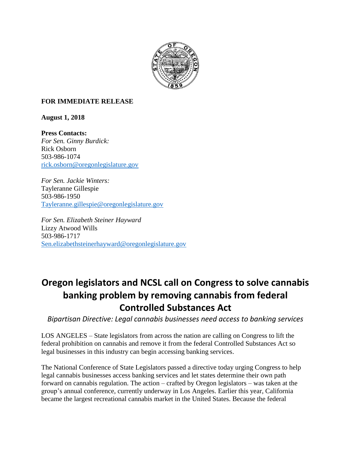

## **FOR IMMEDIATE RELEASE**

**August 1, 2018**

**Press Contacts:** *For Sen. Ginny Burdick:* Rick Osborn 503-986-1074 [rick.osborn@oregonlegislature.gov](mailto:rick.osborn@oregonlegislature.gov)

*For Sen. Jackie Winters:* Tayleranne Gillespie 503-986-1950 [Tayleranne.gillespie@oregonlegislature.gov](mailto:Tayleranne.gillespie@oregonlegislature.gov)

*For Sen. Elizabeth Steiner Hayward* Lizzy Atwood Wills 503-986-1717 [Sen.elizabethsteinerhayward@oregonlegislature.gov](mailto:Sen.elizabethsteinerhayward@oregonlegislature.gov)

## **Oregon legislators and NCSL call on Congress to solve cannabis banking problem by removing cannabis from federal Controlled Substances Act**

*Bipartisan Directive: Legal cannabis businesses need access to banking services*

LOS ANGELES – State legislators from across the nation are calling on Congress to lift the federal prohibition on cannabis and remove it from the federal Controlled Substances Act so legal businesses in this industry can begin accessing banking services.

The National Conference of State Legislators passed a directive today urging Congress to help legal cannabis businesses access banking services and let states determine their own path forward on cannabis regulation. The action – crafted by Oregon legislators – was taken at the group's annual conference, currently underway in Los Angeles. Earlier this year, California became the largest recreational cannabis market in the United States. Because the federal